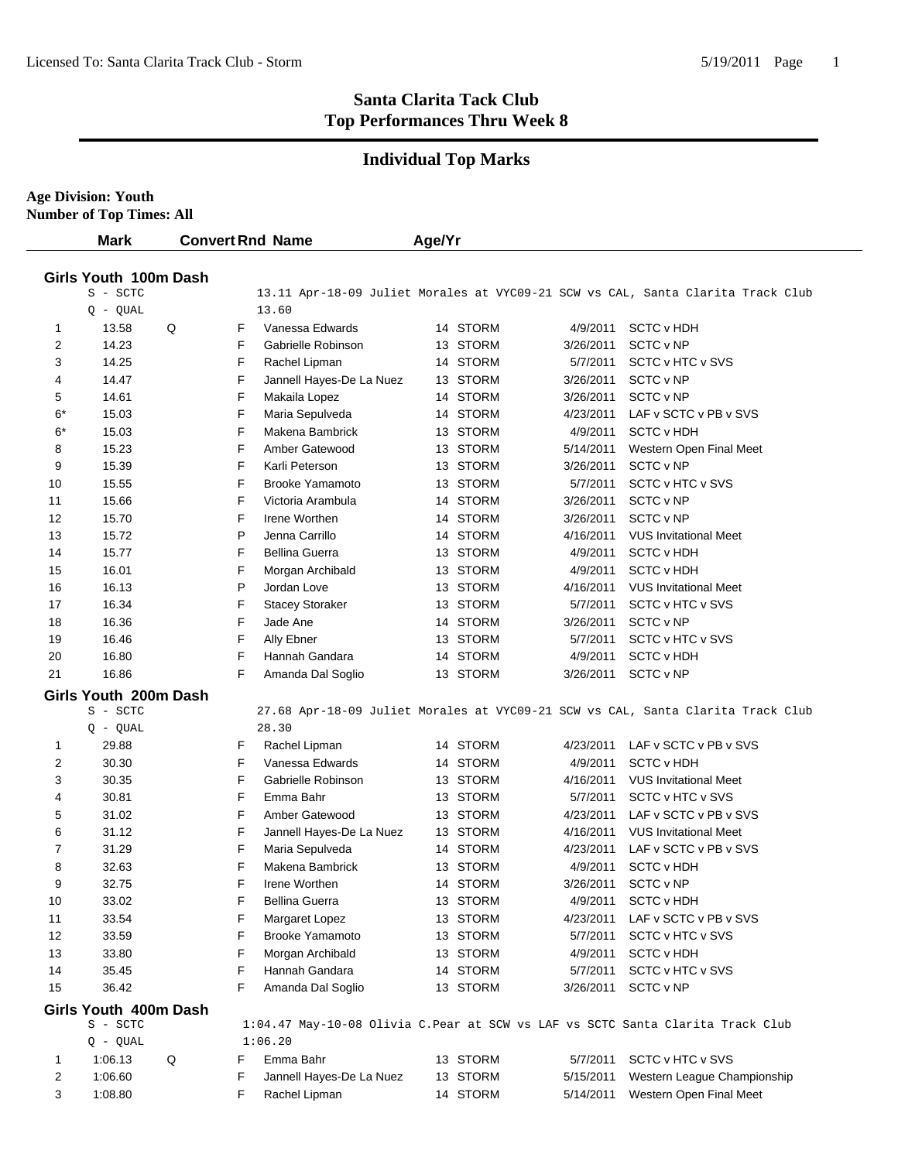## **Individual Top Marks**

| <b>Age Division: Youth</b> |  |
|----------------------------|--|
|                            |  |

| <b>Mark</b>                       |   |   | <b>Convert Rnd Name</b>  | Age/Yr |          |           |                                                                                 |
|-----------------------------------|---|---|--------------------------|--------|----------|-----------|---------------------------------------------------------------------------------|
| Girls Youth 100m Dash             |   |   |                          |        |          |           |                                                                                 |
| S - SCTC                          |   |   |                          |        |          |           | 13.11 Apr-18-09 Juliet Morales at VYC09-21 SCW vs CAL, Santa Clarita Track Club |
| $Q - QUAL$                        |   |   | 13.60                    |        |          |           |                                                                                 |
| 13.58<br>1                        | Q | F | Vanessa Edwards          |        | 14 STORM | 4/9/2011  | <b>SCTC v HDH</b>                                                               |
| 2<br>14.23                        |   | F | Gabrielle Robinson       |        | 13 STORM | 3/26/2011 | SCTC v NP                                                                       |
| 3<br>14.25                        |   | F | Rachel Lipman            |        | 14 STORM | 5/7/2011  | SCTC v HTC v SVS                                                                |
| 14.47<br>4                        |   | F | Jannell Hayes-De La Nuez |        | 13 STORM | 3/26/2011 | SCTC v NP                                                                       |
| 14.61<br>5                        |   | F | Makaila Lopez            |        | 14 STORM | 3/26/2011 | SCTC v NP                                                                       |
| $6*$<br>15.03                     |   | F | Maria Sepulveda          |        | 14 STORM | 4/23/2011 | LAF v SCTC v PB v SVS                                                           |
| $6*$<br>15.03                     |   | F | Makena Bambrick          |        | 13 STORM | 4/9/2011  | <b>SCTC v HDH</b>                                                               |
| 8<br>15.23                        |   | F | Amber Gatewood           |        | 13 STORM | 5/14/2011 | Western Open Final Meet                                                         |
| 9<br>15.39                        |   | F | Karli Peterson           |        | 13 STORM | 3/26/2011 | SCTC v NP                                                                       |
| 15.55<br>10                       |   | F | <b>Brooke Yamamoto</b>   |        | 13 STORM | 5/7/2011  | SCTC v HTC v SVS                                                                |
| 15.66<br>11                       |   | F | Victoria Arambula        |        | 14 STORM | 3/26/2011 | SCTC v NP                                                                       |
| 12<br>15.70                       |   | F | Irene Worthen            |        | 14 STORM | 3/26/2011 | SCTC v NP                                                                       |
| 13<br>15.72                       |   | P | Jenna Carrillo           |        | 14 STORM | 4/16/2011 | <b>VUS Invitational Meet</b>                                                    |
| 15.77<br>14                       |   | F | <b>Bellina Guerra</b>    |        | 13 STORM | 4/9/2011  | <b>SCTC v HDH</b>                                                               |
| 16.01<br>15                       |   | F | Morgan Archibald         |        | 13 STORM | 4/9/2011  | <b>SCTC v HDH</b>                                                               |
| 16.13<br>16                       |   | P | Jordan Love              |        | 13 STORM | 4/16/2011 | <b>VUS Invitational Meet</b>                                                    |
| 16.34<br>17                       |   | F | <b>Stacey Storaker</b>   |        | 13 STORM | 5/7/2011  | SCTC v HTC v SVS                                                                |
| 18<br>16.36                       |   | F | Jade Ane                 |        | 14 STORM | 3/26/2011 | SCTC v NP                                                                       |
| 19<br>16.46                       |   | F | Ally Ebner               |        | 13 STORM | 5/7/2011  | SCTC v HTC v SVS                                                                |
| 20<br>16.80                       |   | F | Hannah Gandara           |        | 14 STORM | 4/9/2011  | <b>SCTC v HDH</b>                                                               |
| 21<br>16.86                       |   | F | Amanda Dal Soglio        |        | 13 STORM |           | 3/26/2011 SCTC v NP                                                             |
| Girls Youth 200m Dash             |   |   |                          |        |          |           |                                                                                 |
| S - SCTC                          |   |   |                          |        |          |           | 27.68 Apr-18-09 Juliet Morales at VYC09-21 SCW vs CAL, Santa Clarita Track Club |
| $Q - QUAL$                        |   |   | 28.30                    |        |          |           |                                                                                 |
| 29.88<br>1                        |   | F | Rachel Lipman            |        | 14 STORM | 4/23/2011 | LAF v SCTC v PB v SVS                                                           |
| 2<br>30.30                        |   | F | Vanessa Edwards          |        | 14 STORM | 4/9/2011  | <b>SCTC v HDH</b>                                                               |
| 3<br>30.35                        |   | F | Gabrielle Robinson       |        | 13 STORM | 4/16/2011 | <b>VUS Invitational Meet</b>                                                    |
| 30.81<br>4                        |   | F | Emma Bahr                |        | 13 STORM | 5/7/2011  | SCTC v HTC v SVS                                                                |
| 31.02<br>5                        |   | F | Amber Gatewood           |        | 13 STORM | 4/23/2011 | LAF v SCTC v PB v SVS                                                           |
| 31.12<br>6                        |   | F | Jannell Hayes-De La Nuez |        | 13 STORM | 4/16/2011 | <b>VUS Invitational Meet</b>                                                    |
| 7<br>31.29                        |   | F | Maria Sepulveda          |        | 14 STORM | 4/23/2011 | LAF v SCTC v PB v SVS                                                           |
| 32.63<br>8                        |   | F | Makena Bambrick          |        | 13 STORM | 4/9/2011  | <b>SCTC v HDH</b>                                                               |
| 32.75<br>9                        |   | F | Irene Worthen            |        | 14 STORM |           | 3/26/2011 SCTC v NP                                                             |
| 10<br>33.02                       |   | F | Bellina Guerra           |        | 13 STORM | 4/9/2011  | SCTC v HDH                                                                      |
| 33.54<br>11                       |   | F | Margaret Lopez           |        | 13 STORM | 4/23/2011 | LAF v SCTC v PB v SVS                                                           |
| 33.59<br>12                       |   | F | <b>Brooke Yamamoto</b>   |        | 13 STORM | 5/7/2011  | SCTC v HTC v SVS                                                                |
| 13<br>33.80                       |   | F | Morgan Archibald         |        | 13 STORM | 4/9/2011  | <b>SCTC v HDH</b>                                                               |
| 14<br>35.45                       |   | F | Hannah Gandara           |        | 14 STORM | 5/7/2011  | SCTC v HTC v SVS                                                                |
| 15<br>36.42                       |   | F | Amanda Dal Soglio        |        | 13 STORM | 3/26/2011 | SCTC v NP                                                                       |
|                                   |   |   |                          |        |          |           |                                                                                 |
| Girls Youth 400m Dash<br>S - SCTC |   |   |                          |        |          |           | 1:04.47 May-10-08 Olivia C.Pear at SCW vs LAF vs SCTC Santa Clarita Track Club  |
| $Q - QUAL$                        |   |   | 1:06.20                  |        |          |           |                                                                                 |
| 1:06.13<br>1                      | Q | F | Emma Bahr                |        | 13 STORM | 5/7/2011  | <b>SCTC v HTC v SVS</b>                                                         |
| 2<br>1:06.60                      |   | F | Jannell Hayes-De La Nuez |        | 13 STORM | 5/15/2011 | Western League Championship                                                     |
| 3<br>1:08.80                      |   | F | Rachel Lipman            |        | 14 STORM | 5/14/2011 | Western Open Final Meet                                                         |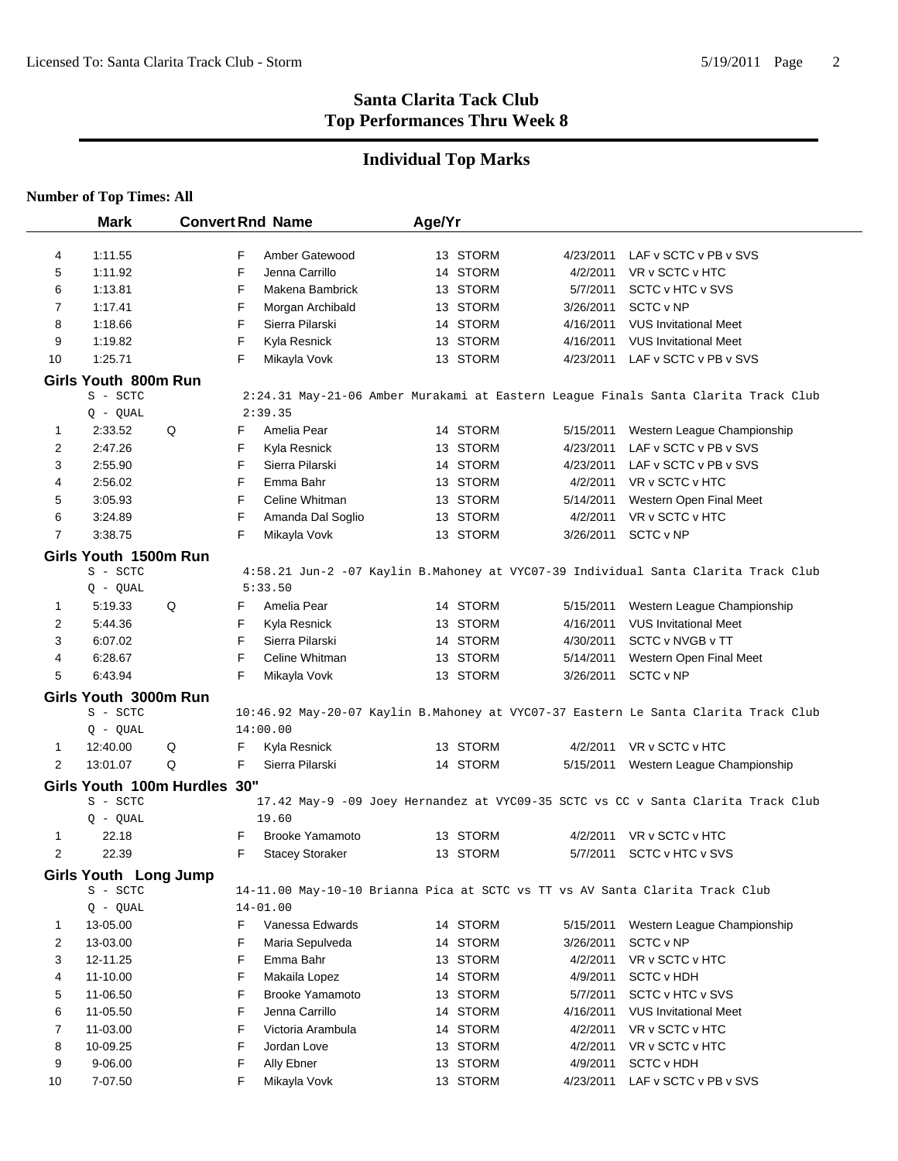# **Individual Top Marks**

|                | <b>Mark</b>                      |   | <b>Convert Rnd Name</b> |                        | Age/Yr |          |           |                                                                                     |
|----------------|----------------------------------|---|-------------------------|------------------------|--------|----------|-----------|-------------------------------------------------------------------------------------|
| 4              | 1:11.55                          |   | F                       | Amber Gatewood         |        | 13 STORM | 4/23/2011 | LAF v SCTC v PB v SVS                                                               |
| 5              | 1:11.92                          |   | F                       | Jenna Carrillo         |        | 14 STORM | 4/2/2011  | VR v SCTC v HTC                                                                     |
| 6              | 1:13.81                          |   | F                       | Makena Bambrick        |        | 13 STORM | 5/7/2011  | SCTC v HTC v SVS                                                                    |
| 7              | 1:17.41                          |   | F                       | Morgan Archibald       |        | 13 STORM | 3/26/2011 | SCTC v NP                                                                           |
| 8              | 1:18.66                          |   | F                       | Sierra Pilarski        |        | 14 STORM | 4/16/2011 | <b>VUS Invitational Meet</b>                                                        |
| 9              | 1:19.82                          |   | F                       | Kyla Resnick           |        | 13 STORM | 4/16/2011 | <b>VUS Invitational Meet</b>                                                        |
| 10             | 1:25.71                          |   | F                       | Mikayla Vovk           |        | 13 STORM | 4/23/2011 | LAF v SCTC v PB v SVS                                                               |
|                |                                  |   |                         |                        |        |          |           |                                                                                     |
|                | Girls Youth 800m Run<br>S - SCTC |   |                         |                        |        |          |           | 2:24.31 May-21-06 Amber Murakami at Eastern League Finals Santa Clarita Track Club  |
|                | $Q - QUAL$                       |   | 2:39.35                 |                        |        |          |           |                                                                                     |
| 1              | 2:33.52                          | Q | F                       | Amelia Pear            |        | 14 STORM | 5/15/2011 | Western League Championship                                                         |
| 2              | 2:47.26                          |   | F                       | Kyla Resnick           |        | 13 STORM | 4/23/2011 | LAF v SCTC v PB v SVS                                                               |
| 3              | 2:55.90                          |   | F                       | Sierra Pilarski        |        | 14 STORM | 4/23/2011 | LAF v SCTC v PB v SVS                                                               |
| 4              | 2:56.02                          |   | F                       | Emma Bahr              |        | 13 STORM | 4/2/2011  | VR v SCTC v HTC                                                                     |
| 5              | 3:05.93                          |   | F                       | Celine Whitman         |        | 13 STORM | 5/14/2011 | Western Open Final Meet                                                             |
| 6              | 3:24.89                          |   | F                       | Amanda Dal Soglio      |        | 13 STORM | 4/2/2011  | VR v SCTC v HTC                                                                     |
| 7              |                                  |   | F                       |                        |        |          |           |                                                                                     |
|                | 3:38.75                          |   |                         | Mikayla Vovk           |        | 13 STORM | 3/26/2011 | SCTC v NP                                                                           |
|                | Girls Youth 1500m Run            |   |                         |                        |        |          |           |                                                                                     |
|                | S - SCTC                         |   |                         |                        |        |          |           | 4:58.21 Jun-2 -07 Kaylin B.Mahoney at VYC07-39 Individual Santa Clarita Track Club  |
|                | $Q - QUAL$                       |   | 5:33.50                 |                        |        |          |           |                                                                                     |
| 1              | 5:19.33                          | Q | F                       | Amelia Pear            |        | 14 STORM | 5/15/2011 | Western League Championship                                                         |
| 2              | 5:44.36                          |   | F                       | Kyla Resnick           |        | 13 STORM | 4/16/2011 | <b>VUS Invitational Meet</b>                                                        |
| 3              | 6:07.02                          |   | F                       | Sierra Pilarski        |        | 14 STORM | 4/30/2011 | SCTC v NVGB v TT                                                                    |
| 4              | 6:28.67                          |   | F                       | Celine Whitman         |        | 13 STORM | 5/14/2011 | Western Open Final Meet                                                             |
| 5              | 6:43.94                          |   | F                       | Mikayla Vovk           |        | 13 STORM | 3/26/2011 | SCTC v NP                                                                           |
|                | Girls Youth 3000m Run            |   |                         |                        |        |          |           |                                                                                     |
|                | S - SCTC                         |   |                         |                        |        |          |           | 10:46.92 May-20-07 Kaylin B.Mahoney at VYC07-37 Eastern Le Santa Clarita Track Club |
|                | $Q - QUAL$                       |   | 14:00.00                |                        |        |          |           |                                                                                     |
| 1              | 12:40.00                         | Q | F                       | Kyla Resnick           |        | 13 STORM | 4/2/2011  | VR v SCTC v HTC                                                                     |
| 2              | 13:01.07                         | Q | F                       | Sierra Pilarski        |        | 14 STORM | 5/15/2011 | Western League Championship                                                         |
|                | Girls Youth 100m Hurdles 30"     |   |                         |                        |        |          |           |                                                                                     |
|                | S - SCTC                         |   |                         |                        |        |          |           | 17.42 May-9 -09 Joey Hernandez at VYC09-35 SCTC vs CC v Santa Clarita Track Club    |
|                | Q - QUAL                         |   |                         | 19.60                  |        |          |           |                                                                                     |
| 1              | 22.18                            |   | F.                      | <b>Brooke Yamamoto</b> |        | 13 STORM | 4/2/2011  | VR v SCTC v HTC                                                                     |
| 2              | 22.39                            |   | F                       | <b>Stacey Storaker</b> |        | 13 STORM | 5/7/2011  | SCTC v HTC v SVS                                                                    |
|                | Girls Youth Long Jump            |   |                         |                        |        |          |           |                                                                                     |
|                | S - SCTC                         |   |                         |                        |        |          |           | 14-11.00 May-10-10 Brianna Pica at SCTC vs TT vs AV Santa Clarita Track Club        |
|                | $Q - QUAL$                       |   | $14 - 01.00$            |                        |        |          |           |                                                                                     |
| 1              | 13-05.00                         |   | F                       | Vanessa Edwards        |        | 14 STORM | 5/15/2011 | Western League Championship                                                         |
| $\overline{2}$ | 13-03.00                         |   | F                       | Maria Sepulveda        |        | 14 STORM | 3/26/2011 | SCTC v NP                                                                           |
| 3              | 12-11.25                         |   | F                       | Emma Bahr              |        | 13 STORM | 4/2/2011  | VR v SCTC v HTC                                                                     |
| 4              | 11-10.00                         |   | F                       | Makaila Lopez          |        | 14 STORM | 4/9/2011  | <b>SCTC v HDH</b>                                                                   |
| 5              | 11-06.50                         |   | F                       | <b>Brooke Yamamoto</b> |        | 13 STORM | 5/7/2011  | SCTC v HTC v SVS                                                                    |
| 6              | 11-05.50                         |   | F                       | Jenna Carrillo         |        | 14 STORM | 4/16/2011 | <b>VUS Invitational Meet</b>                                                        |
| $\overline{7}$ | 11-03.00                         |   | F                       | Victoria Arambula      |        | 14 STORM | 4/2/2011  | VR v SCTC v HTC                                                                     |
| 8              | 10-09.25                         |   | F                       | Jordan Love            |        | 13 STORM | 4/2/2011  | VR v SCTC v HTC                                                                     |
| 9              | 9-06.00                          |   | F                       | Ally Ebner             |        | 13 STORM | 4/9/2011  | <b>SCTC v HDH</b>                                                                   |
| 10             | 7-07.50                          |   | F                       | Mikayla Vovk           |        | 13 STORM | 4/23/2011 | LAF v SCTC v PB v SVS                                                               |
|                |                                  |   |                         |                        |        |          |           |                                                                                     |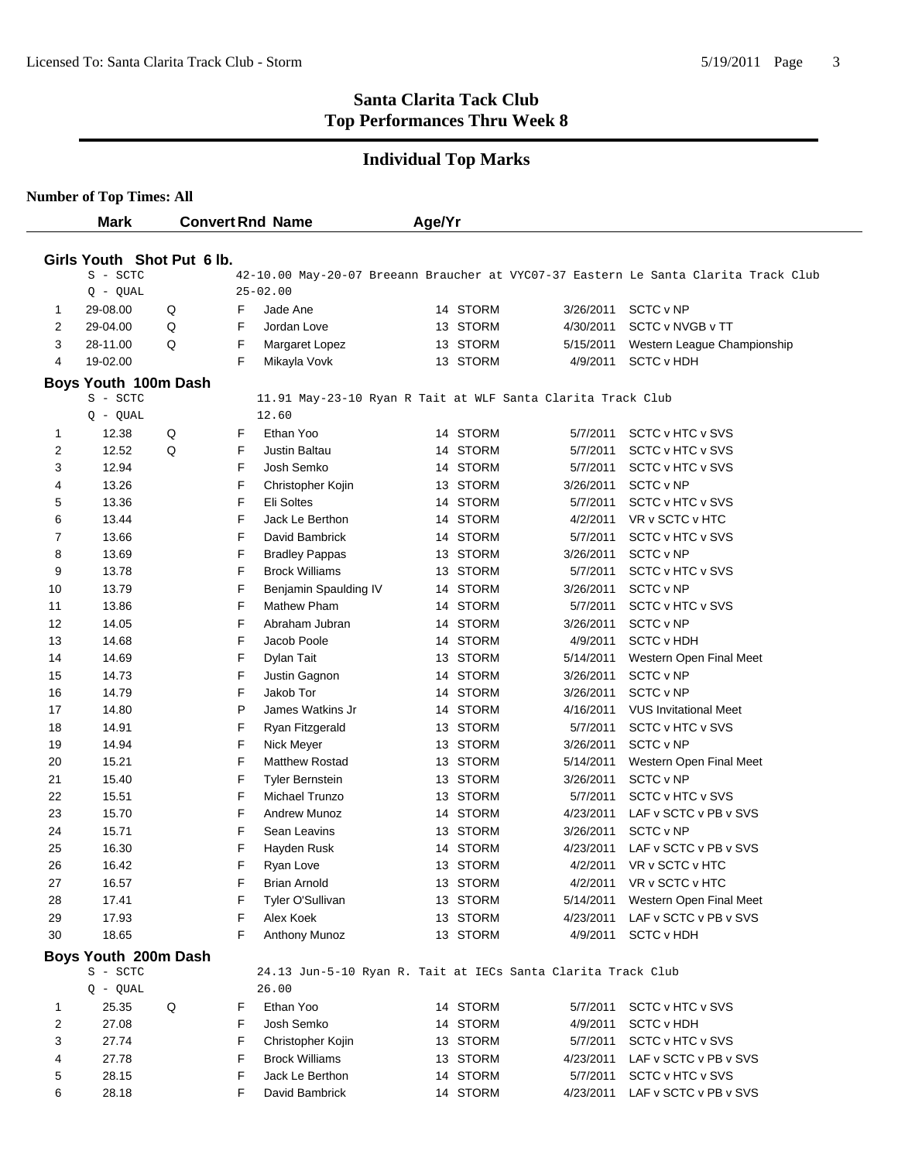### **Individual Top Marks**

|    | <b>Mark</b>                |   |   | <b>Convert Rnd Name</b>                                      | Age/Yr |          |           |                                                                                     |
|----|----------------------------|---|---|--------------------------------------------------------------|--------|----------|-----------|-------------------------------------------------------------------------------------|
|    |                            |   |   |                                                              |        |          |           |                                                                                     |
|    | Girls Youth Shot Put 6 lb. |   |   |                                                              |        |          |           |                                                                                     |
|    | S - SCTC                   |   |   |                                                              |        |          |           | 42-10.00 May-20-07 Breeann Braucher at VYC07-37 Eastern Le Santa Clarita Track Club |
|    | $Q - QUAL$                 |   |   | $25 - 02.00$                                                 |        |          |           |                                                                                     |
| 1  | 29-08.00                   | Q | F | Jade Ane                                                     |        | 14 STORM | 3/26/2011 | <b>SCTC v NP</b>                                                                    |
| 2  | 29-04.00                   | Q | F | Jordan Love                                                  |        | 13 STORM | 4/30/2011 | SCTC v NVGB v TT                                                                    |
| 3  | 28-11.00                   | Q | F | Margaret Lopez                                               |        | 13 STORM | 5/15/2011 | Western League Championship                                                         |
| 4  | 19-02.00                   |   | F | Mikayla Vovk                                                 |        | 13 STORM | 4/9/2011  | <b>SCTC v HDH</b>                                                                   |
|    | Boys Youth 100m Dash       |   |   |                                                              |        |          |           |                                                                                     |
|    | S - SCTC                   |   |   | 11.91 May-23-10 Ryan R Tait at WLF Santa Clarita Track Club  |        |          |           |                                                                                     |
|    | $Q - QUAL$                 |   |   | 12.60                                                        |        |          |           |                                                                                     |
| 1  | 12.38                      | Q | F | Ethan Yoo                                                    |        | 14 STORM | 5/7/2011  | SCTC v HTC v SVS                                                                    |
| 2  | 12.52                      | Q | F | Justin Baltau                                                |        | 14 STORM | 5/7/2011  | SCTC v HTC v SVS                                                                    |
| 3  | 12.94                      |   | F | Josh Semko                                                   |        | 14 STORM | 5/7/2011  | SCTC v HTC v SVS                                                                    |
| 4  | 13.26                      |   | F | Christopher Kojin                                            |        | 13 STORM | 3/26/2011 | SCTC v NP                                                                           |
| 5  | 13.36                      |   | F | Eli Soltes                                                   |        | 14 STORM | 5/7/2011  | SCTC v HTC v SVS                                                                    |
| 6  | 13.44                      |   | F | Jack Le Berthon                                              |        | 14 STORM | 4/2/2011  | VR v SCTC v HTC                                                                     |
| 7  | 13.66                      |   | F | David Bambrick                                               |        | 14 STORM | 5/7/2011  | SCTC v HTC v SVS                                                                    |
| 8  | 13.69                      |   | F | <b>Bradley Pappas</b>                                        |        | 13 STORM | 3/26/2011 | <b>SCTC v NP</b>                                                                    |
| 9  | 13.78                      |   | F | <b>Brock Williams</b>                                        |        | 13 STORM | 5/7/2011  | SCTC v HTC v SVS                                                                    |
| 10 | 13.79                      |   | F | Benjamin Spaulding IV                                        |        | 14 STORM | 3/26/2011 | SCTC v NP                                                                           |
| 11 | 13.86                      |   | F | Mathew Pham                                                  |        | 14 STORM | 5/7/2011  | SCTC v HTC v SVS                                                                    |
| 12 | 14.05                      |   | F | Abraham Jubran                                               |        | 14 STORM | 3/26/2011 | SCTC v NP                                                                           |
| 13 | 14.68                      |   | F | Jacob Poole                                                  |        | 14 STORM | 4/9/2011  | <b>SCTC v HDH</b>                                                                   |
| 14 | 14.69                      |   | F | Dylan Tait                                                   |        | 13 STORM | 5/14/2011 | Western Open Final Meet                                                             |
| 15 | 14.73                      |   | F | Justin Gagnon                                                |        | 14 STORM | 3/26/2011 | SCTC v NP                                                                           |
| 16 | 14.79                      |   | F | Jakob Tor                                                    |        | 14 STORM | 3/26/2011 | SCTC v NP                                                                           |
| 17 | 14.80                      |   | P | James Watkins Jr                                             |        | 14 STORM | 4/16/2011 | <b>VUS Invitational Meet</b>                                                        |
| 18 | 14.91                      |   | F | Ryan Fitzgerald                                              |        | 13 STORM | 5/7/2011  | SCTC v HTC v SVS                                                                    |
| 19 | 14.94                      |   | F | Nick Meyer                                                   |        | 13 STORM | 3/26/2011 | SCTC v NP                                                                           |
| 20 | 15.21                      |   | F | <b>Matthew Rostad</b>                                        |        | 13 STORM | 5/14/2011 | Western Open Final Meet                                                             |
| 21 | 15.40                      |   | F | <b>Tyler Bernstein</b>                                       |        | 13 STORM | 3/26/2011 | SCTC v NP                                                                           |
| 22 | 15.51                      |   | F | Michael Trunzo                                               |        | 13 STORM | 5/7/2011  | SCTC v HTC v SVS                                                                    |
| 23 | 15.70                      |   | F | <b>Andrew Munoz</b>                                          |        | 14 STORM | 4/23/2011 | LAF v SCTC v PB v SVS                                                               |
| 24 | 15.71                      |   | F | Sean Leavins                                                 |        | 13 STORM | 3/26/2011 | SCTC v NP                                                                           |
| 25 | 16.30                      |   | F | Hayden Rusk                                                  |        | 14 STORM | 4/23/2011 | LAF v SCTC v PB v SVS                                                               |
| 26 | 16.42                      |   | F | Ryan Love                                                    |        | 13 STORM | 4/2/2011  | VR v SCTC v HTC                                                                     |
| 27 | 16.57                      |   | F | <b>Brian Arnold</b>                                          |        | 13 STORM | 4/2/2011  | VR v SCTC v HTC                                                                     |
| 28 | 17.41                      |   | F | Tyler O'Sullivan                                             |        | 13 STORM | 5/14/2011 | Western Open Final Meet                                                             |
| 29 | 17.93                      |   | F | Alex Koek                                                    |        | 13 STORM | 4/23/2011 | LAF v SCTC v PB v SVS                                                               |
| 30 | 18.65                      |   | F | Anthony Munoz                                                |        | 13 STORM | 4/9/2011  | <b>SCTC v HDH</b>                                                                   |
|    | Boys Youth 200m Dash       |   |   |                                                              |        |          |           |                                                                                     |
|    | S - SCTC                   |   |   | 24.13 Jun-5-10 Ryan R. Tait at IECs Santa Clarita Track Club |        |          |           |                                                                                     |
|    | $Q - QUAL$                 |   |   | 26.00                                                        |        |          |           |                                                                                     |
| 1  | 25.35                      | Q | F | Ethan Yoo                                                    |        | 14 STORM | 5/7/2011  | SCTC v HTC v SVS                                                                    |
| 2  | 27.08                      |   | F | Josh Semko                                                   |        | 14 STORM | 4/9/2011  | <b>SCTC v HDH</b>                                                                   |
| 3  | 27.74                      |   | F | Christopher Kojin                                            |        | 13 STORM | 5/7/2011  | SCTC v HTC v SVS                                                                    |
| 4  | 27.78                      |   | F | <b>Brock Williams</b>                                        |        | 13 STORM | 4/23/2011 | LAF v SCTC v PB v SVS                                                               |
| 5  | 28.15                      |   | F | Jack Le Berthon                                              |        | 14 STORM | 5/7/2011  | SCTC v HTC v SVS                                                                    |
| 6  | 28.18                      |   | F | David Bambrick                                               |        | 14 STORM | 4/23/2011 | LAF v SCTC v PB v SVS                                                               |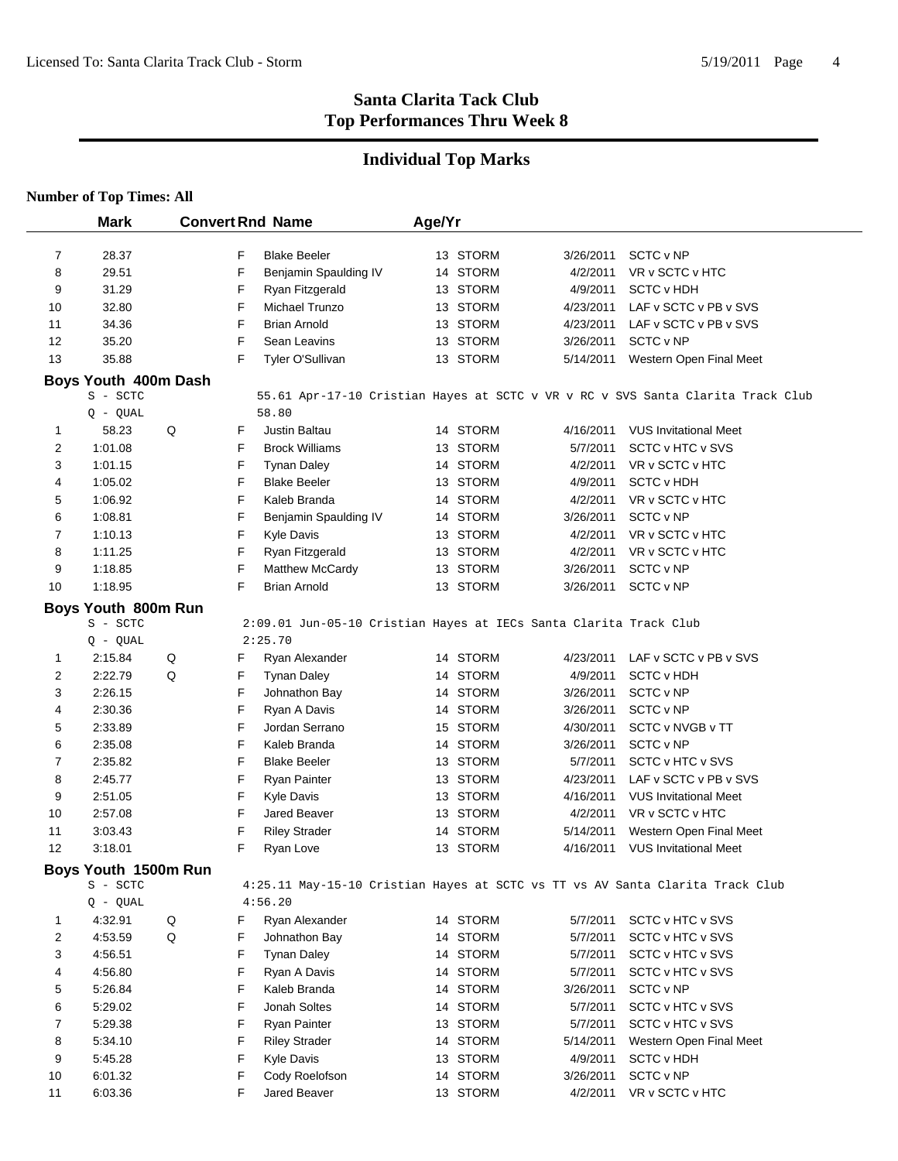## **Individual Top Marks**

|                   | <b>Mark</b>                      |   |        | <b>Convert Rnd Name</b>                                           | Age/Yr |                      |                       |                                                                                 |
|-------------------|----------------------------------|---|--------|-------------------------------------------------------------------|--------|----------------------|-----------------------|---------------------------------------------------------------------------------|
|                   |                                  |   |        |                                                                   |        |                      |                       |                                                                                 |
| $\overline{7}$    | 28.37                            |   | F      | <b>Blake Beeler</b>                                               |        | 13 STORM             | 3/26/2011             | SCTC v NP                                                                       |
| 8                 | 29.51                            |   | F      | Benjamin Spaulding IV                                             |        | 14 STORM             | 4/2/2011              | VR v SCTC v HTC                                                                 |
| 9                 | 31.29                            |   | F      | Ryan Fitzgerald                                                   |        | 13 STORM             | 4/9/2011              | <b>SCTC v HDH</b>                                                               |
| 10                | 32.80                            |   | F      | Michael Trunzo                                                    |        | 13 STORM             | 4/23/2011             | LAF v SCTC v PB v SVS                                                           |
| 11                | 34.36                            |   | F      | <b>Brian Arnold</b>                                               |        | 13 STORM             | 4/23/2011             | LAF v SCTC v PB v SVS                                                           |
| 12                | 35.20                            |   | F      | Sean Leavins                                                      |        | 13 STORM             | 3/26/2011             | SCTC v NP                                                                       |
| 13                | 35.88                            |   | F      | Tyler O'Sullivan                                                  |        | 13 STORM             | 5/14/2011             | Western Open Final Meet                                                         |
|                   | Boys Youth 400m Dash             |   |        |                                                                   |        |                      |                       |                                                                                 |
|                   | S - SCTC                         |   |        |                                                                   |        |                      |                       | 55.61 Apr-17-10 Cristian Hayes at SCTC v VR v RC v SVS Santa Clarita Track Club |
|                   | $Q - QUAL$                       |   |        | 58.80                                                             |        |                      |                       |                                                                                 |
| 1                 | 58.23                            | Q | F      | Justin Baltau                                                     |        | 14 STORM             | 4/16/2011             | <b>VUS Invitational Meet</b>                                                    |
| 2                 | 1:01.08                          |   | F      | <b>Brock Williams</b>                                             |        | 13 STORM             | 5/7/2011              | SCTC v HTC v SVS                                                                |
| 3                 | 1:01.15                          |   | F      | <b>Tynan Daley</b>                                                |        | 14 STORM             | 4/2/2011              | VR v SCTC v HTC                                                                 |
| 4                 | 1:05.02                          |   | F      | <b>Blake Beeler</b>                                               |        | 13 STORM             | 4/9/2011              | <b>SCTC v HDH</b>                                                               |
| 5                 | 1:06.92                          |   | F      | Kaleb Branda                                                      |        | 14 STORM             | 4/2/2011              | VR v SCTC v HTC                                                                 |
| 6                 | 1:08.81                          |   | F      | Benjamin Spaulding IV                                             |        | 14 STORM             | 3/26/2011             | SCTC v NP                                                                       |
| 7                 | 1:10.13                          |   | F      | Kyle Davis                                                        |        | 13 STORM             | 4/2/2011              | VR v SCTC v HTC                                                                 |
| 8                 | 1:11.25                          |   | F      | Ryan Fitzgerald                                                   |        | 13 STORM             | 4/2/2011              | VR v SCTC v HTC                                                                 |
| 9                 | 1:18.85                          |   | F      | Matthew McCardy                                                   |        | 13 STORM             | 3/26/2011             | SCTC v NP                                                                       |
| 10                | 1:18.95                          |   | F      | <b>Brian Arnold</b>                                               |        | 13 STORM             | 3/26/2011             | SCTC v NP                                                                       |
|                   | Boys Youth 800m Run              |   |        |                                                                   |        |                      |                       |                                                                                 |
|                   | S - SCTC                         |   |        | 2:09.01 Jun-05-10 Cristian Hayes at IECs Santa Clarita Track Club |        |                      |                       |                                                                                 |
|                   | $Q - QUAL$                       |   |        | 2:25.70                                                           |        |                      |                       |                                                                                 |
| 1                 | 2:15.84                          | Q | F      | Ryan Alexander                                                    |        | 14 STORM             | 4/23/2011             | LAF v SCTC v PB v SVS                                                           |
| 2                 | 2:22.79                          | Q | F      | <b>Tynan Daley</b>                                                |        | 14 STORM             | 4/9/2011              | <b>SCTC v HDH</b>                                                               |
| 3                 | 2:26.15                          |   | F      | Johnathon Bay                                                     |        | 14 STORM             | 3/26/2011             | SCTC v NP                                                                       |
| 4                 | 2:30.36                          |   | F      | Ryan A Davis                                                      |        | 14 STORM             | 3/26/2011             | SCTC v NP                                                                       |
| 5                 | 2:33.89                          |   | F      | Jordan Serrano                                                    |        | 15 STORM             | 4/30/2011             | SCTC v NVGB v TT                                                                |
| 6                 | 2:35.08                          |   | F      | Kaleb Branda                                                      |        | 14 STORM             | 3/26/2011             | SCTC v NP                                                                       |
| 7<br>8            | 2:35.82<br>2:45.77               |   | F<br>F | <b>Blake Beeler</b>                                               |        | 13 STORM<br>13 STORM | 5/7/2011<br>4/23/2011 | SCTC v HTC v SVS<br>LAF v SCTC v PB v SVS                                       |
| 9                 | 2:51.05                          |   | F      | <b>Ryan Painter</b><br><b>Kyle Davis</b>                          |        | 13 STORM             | 4/16/2011             | <b>VUS Invitational Meet</b>                                                    |
| 10                | 2:57.08                          |   | F      | Jared Beaver                                                      |        | 13 STORM             | 4/2/2011              | VR v SCTC v HTC                                                                 |
| 11                | 3:03.43                          |   | F      | <b>Riley Strader</b>                                              |        | 14 STORM             | 5/14/2011             | Western Open Final Meet                                                         |
| $12 \overline{ }$ | 3:18.01                          |   | F      | Ryan Love                                                         |        | 13 STORM             | 4/16/2011             | <b>VUS Invitational Meet</b>                                                    |
|                   |                                  |   |        |                                                                   |        |                      |                       |                                                                                 |
|                   | Boys Youth 1500m Run<br>S - SCTC |   |        |                                                                   |        |                      |                       |                                                                                 |
|                   | $Q - QUAL$                       |   |        | 4:56.20                                                           |        |                      |                       | 4:25.11 May-15-10 Cristian Hayes at SCTC vs TT vs AV Santa Clarita Track Club   |
| 1                 | 4:32.91                          | Q | F      | Ryan Alexander                                                    |        | 14 STORM             | 5/7/2011              | SCTC v HTC v SVS                                                                |
| 2                 | 4:53.59                          | Q | F      | Johnathon Bay                                                     |        | 14 STORM             | 5/7/2011              | SCTC v HTC v SVS                                                                |
| 3                 | 4:56.51                          |   | F      | <b>Tynan Daley</b>                                                |        | 14 STORM             | 5/7/2011              | SCTC v HTC v SVS                                                                |
| 4                 | 4:56.80                          |   | F      | Ryan A Davis                                                      |        | 14 STORM             | 5/7/2011              | SCTC v HTC v SVS                                                                |
| 5                 | 5:26.84                          |   | F      | Kaleb Branda                                                      |        | 14 STORM             | 3/26/2011             | SCTC v NP                                                                       |
| 6                 | 5:29.02                          |   | F      | Jonah Soltes                                                      |        | 14 STORM             | 5/7/2011              | SCTC v HTC v SVS                                                                |
| 7                 | 5:29.38                          |   | F      | <b>Ryan Painter</b>                                               |        | 13 STORM             | 5/7/2011              | SCTC v HTC v SVS                                                                |
| 8                 | 5:34.10                          |   | F      | <b>Riley Strader</b>                                              |        | 14 STORM             | 5/14/2011             | Western Open Final Meet                                                         |
| 9                 | 5:45.28                          |   | F      | <b>Kyle Davis</b>                                                 |        | 13 STORM             | 4/9/2011              | <b>SCTC v HDH</b>                                                               |
| 10                | 6:01.32                          |   | F      | Cody Roelofson                                                    |        | 14 STORM             | 3/26/2011             | SCTC v NP                                                                       |
| 11                | 6:03.36                          |   | F      | Jared Beaver                                                      |        | 13 STORM             | 4/2/2011              | VR v SCTC v HTC                                                                 |
|                   |                                  |   |        |                                                                   |        |                      |                       |                                                                                 |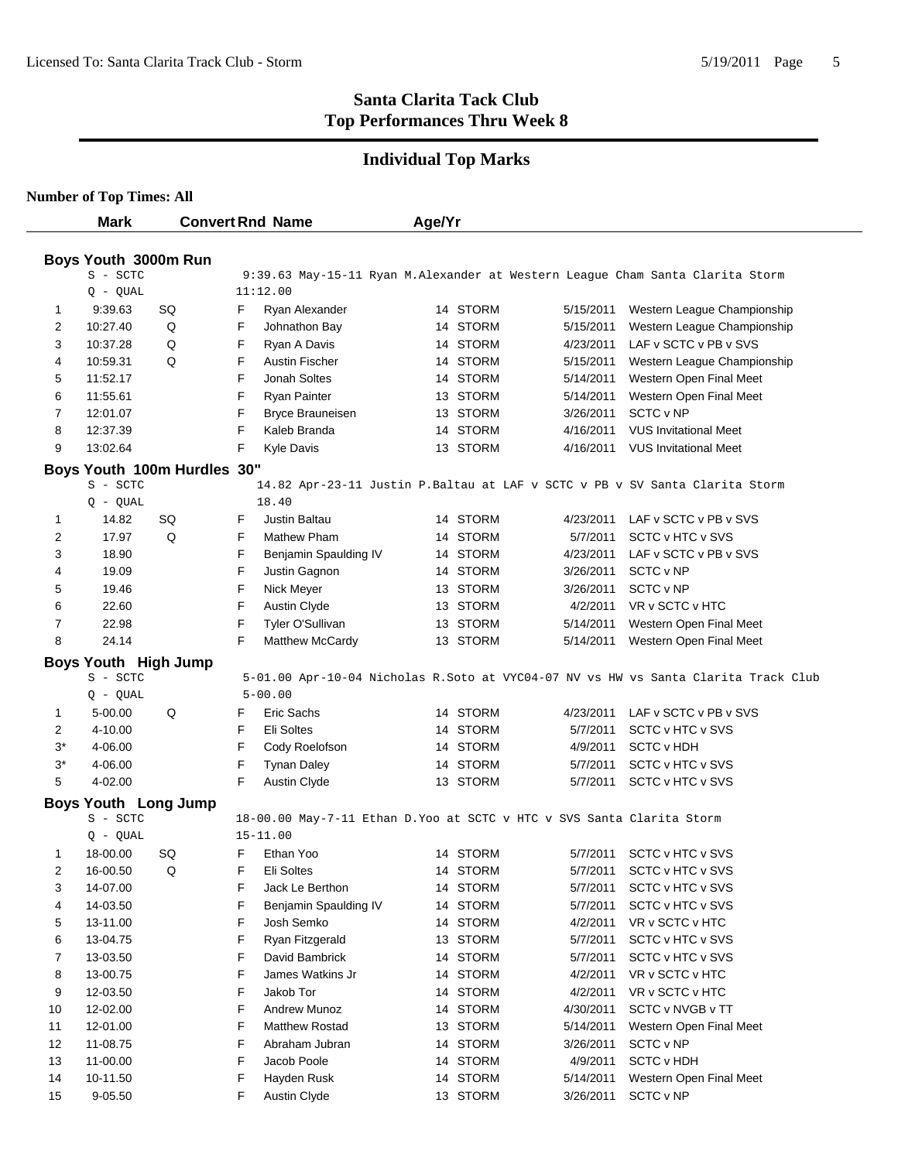# **Individual Top Marks**

| <b>Number of Top Times: All</b> |  |  |  |
|---------------------------------|--|--|--|
|---------------------------------|--|--|--|

|       | <b>Mark</b>                      |                             | <b>Convert Rnd Name</b>  |                                                                       | Age/Yr |          |           |                                                                                    |
|-------|----------------------------------|-----------------------------|--------------------------|-----------------------------------------------------------------------|--------|----------|-----------|------------------------------------------------------------------------------------|
|       |                                  |                             |                          |                                                                       |        |          |           |                                                                                    |
|       | Boys Youth 3000m Run<br>S - SCTC |                             |                          |                                                                       |        |          |           |                                                                                    |
|       | $Q - QUAL$                       |                             | 11:12.00                 |                                                                       |        |          |           | 9:39.63 May-15-11 Ryan M.Alexander at Western League Cham Santa Clarita Storm      |
| 1     | 9:39.63                          | SQ                          | F                        | Ryan Alexander                                                        |        | 14 STORM | 5/15/2011 | Western League Championship                                                        |
| 2     | 10:27.40                         | Q                           | F                        | Johnathon Bay                                                         |        | 14 STORM | 5/15/2011 | Western League Championship                                                        |
| 3     | 10:37.28                         | Q                           | F<br>Ryan A Davis        |                                                                       |        | 14 STORM | 4/23/2011 | LAF v SCTC v PB v SVS                                                              |
| 4     | 10:59.31                         | Q                           | F                        | Austin Fischer                                                        |        | 14 STORM | 5/15/2011 | Western League Championship                                                        |
| 5     | 11:52.17                         |                             | F<br>Jonah Soltes        |                                                                       |        | 14 STORM | 5/14/2011 | Western Open Final Meet                                                            |
| 6     | 11:55.61                         |                             | F<br><b>Ryan Painter</b> |                                                                       |        | 13 STORM | 5/14/2011 | Western Open Final Meet                                                            |
| 7     | 12:01.07                         |                             | F                        | <b>Bryce Brauneisen</b>                                               |        | 13 STORM | 3/26/2011 | SCTC v NP                                                                          |
| 8     | 12:37.39                         |                             | F<br>Kaleb Branda        |                                                                       |        | 14 STORM | 4/16/2011 | <b>VUS Invitational Meet</b>                                                       |
| 9     | 13:02.64                         |                             | F<br>Kyle Davis          |                                                                       |        | 13 STORM | 4/16/2011 | <b>VUS Invitational Meet</b>                                                       |
|       |                                  |                             |                          |                                                                       |        |          |           |                                                                                    |
|       | S - SCTC                         | Boys Youth 100m Hurdles 30" |                          |                                                                       |        |          |           | 14.82 Apr-23-11 Justin P.Baltau at LAF v SCTC v PB v SV Santa Clarita Storm        |
|       | $Q - QUAL$                       |                             | 18.40                    |                                                                       |        |          |           |                                                                                    |
| 1     | 14.82                            | SQ                          | Justin Baltau<br>F       |                                                                       |        | 14 STORM | 4/23/2011 | LAF v SCTC v PB v SVS                                                              |
| 2     | 17.97                            | Q                           | F                        | Mathew Pham                                                           |        | 14 STORM | 5/7/2011  | SCTC v HTC v SVS                                                                   |
| 3     | 18.90                            |                             | F                        | Benjamin Spaulding IV                                                 |        | 14 STORM | 4/23/2011 | LAF v SCTC v PB v SVS                                                              |
| 4     | 19.09                            |                             | F                        | Justin Gagnon                                                         |        | 14 STORM | 3/26/2011 | SCTC v NP                                                                          |
| 5     | 19.46                            |                             | F<br>Nick Meyer          |                                                                       |        | 13 STORM | 3/26/2011 | SCTC v NP                                                                          |
| 6     | 22.60                            |                             | F<br>Austin Clyde        |                                                                       |        | 13 STORM | 4/2/2011  | VR v SCTC v HTC                                                                    |
| 7     | 22.98                            |                             | F                        | Tyler O'Sullivan                                                      |        | 13 STORM | 5/14/2011 | Western Open Final Meet                                                            |
| 8     | 24.14                            |                             | F                        | Matthew McCardy                                                       |        | 13 STORM | 5/14/2011 | Western Open Final Meet                                                            |
|       | <b>Boys Youth High Jump</b>      |                             |                          |                                                                       |        |          |           |                                                                                    |
|       | S - SCTC                         |                             |                          |                                                                       |        |          |           | 5-01.00 Apr-10-04 Nicholas R.Soto at VYC04-07 NV vs HW vs Santa Clarita Track Club |
|       | $Q - QUAL$                       |                             | $5 - 00.00$              |                                                                       |        |          |           |                                                                                    |
| 1     | 5-00.00                          | Q                           | F<br>Eric Sachs          |                                                                       |        | 14 STORM | 4/23/2011 | LAF v SCTC v PB v SVS                                                              |
| 2     | 4-10.00                          |                             | F<br>Eli Soltes          |                                                                       |        | 14 STORM | 5/7/2011  | SCTC v HTC v SVS                                                                   |
| $3^*$ | 4-06.00                          |                             | F                        | Cody Roelofson                                                        |        | 14 STORM | 4/9/2011  | <b>SCTC v HDH</b>                                                                  |
| $3^*$ | 4-06.00                          |                             | F<br><b>Tynan Daley</b>  |                                                                       |        | 14 STORM | 5/7/2011  | SCTC v HTC v SVS                                                                   |
| 5     | 4-02.00                          |                             | F<br>Austin Clyde        |                                                                       |        | 13 STORM | 5/7/2011  | SCTC v HTC v SVS                                                                   |
|       | <b>Boys Youth Long Jump</b>      |                             |                          |                                                                       |        |          |           |                                                                                    |
|       | S - SCTC                         |                             |                          | 18-00.00 May-7-11 Ethan D.Yoo at SCTC v HTC v SVS Santa Clarita Storm |        |          |           |                                                                                    |
|       | $Q - QUAL$                       |                             | $15 - 11.00$             |                                                                       |        |          |           |                                                                                    |
| 1     | 18-00.00                         | SQ                          | F<br>Ethan Yoo           |                                                                       |        | 14 STORM | 5/7/2011  | SCTC v HTC v SVS                                                                   |
| 2     | 16-00.50                         | Q                           | Eli Soltes<br>F.         |                                                                       |        | 14 STORM |           | 5/7/2011 SCTC v HTC v SVS                                                          |
| 3     | 14-07.00                         |                             | F                        | Jack Le Berthon                                                       |        | 14 STORM | 5/7/2011  | <b>SCTC v HTC v SVS</b>                                                            |
| 4     | 14-03.50                         |                             | F                        | Benjamin Spaulding IV                                                 |        | 14 STORM | 5/7/2011  | SCTC v HTC v SVS                                                                   |
| 5     | 13-11.00                         |                             | F<br>Josh Semko          |                                                                       |        | 14 STORM | 4/2/2011  | VR v SCTC v HTC                                                                    |
| 6     | 13-04.75                         |                             | F                        | Ryan Fitzgerald                                                       |        | 13 STORM | 5/7/2011  | SCTC v HTC v SVS                                                                   |
| 7     | 13-03.50                         |                             | F                        | David Bambrick                                                        |        | 14 STORM | 5/7/2011  | SCTC v HTC v SVS                                                                   |
| 8     | 13-00.75                         |                             | F                        | James Watkins Jr                                                      |        | 14 STORM | 4/2/2011  | VR v SCTC v HTC                                                                    |
| 9     | 12-03.50                         |                             | F<br>Jakob Tor           |                                                                       |        | 14 STORM | 4/2/2011  | VR v SCTC v HTC                                                                    |
| 10    | 12-02.00                         |                             | F                        | Andrew Munoz                                                          |        | 14 STORM | 4/30/2011 | SCTC v NVGB v TT                                                                   |
| 11    | 12-01.00                         |                             | F                        | Matthew Rostad                                                        |        | 13 STORM | 5/14/2011 | Western Open Final Meet                                                            |
| 12    | 11-08.75                         |                             | F                        | Abraham Jubran                                                        |        | 14 STORM | 3/26/2011 | SCTC v NP                                                                          |
| 13    | 11-00.00                         |                             | F<br>Jacob Poole         |                                                                       |        | 14 STORM | 4/9/2011  | <b>SCTC v HDH</b>                                                                  |
| 14    | 10-11.50                         |                             | F<br>Hayden Rusk         |                                                                       |        | 14 STORM | 5/14/2011 | Western Open Final Meet                                                            |
| 15    | 9-05.50                          |                             | F<br><b>Austin Clyde</b> |                                                                       |        | 13 STORM | 3/26/2011 | SCTC v NP                                                                          |